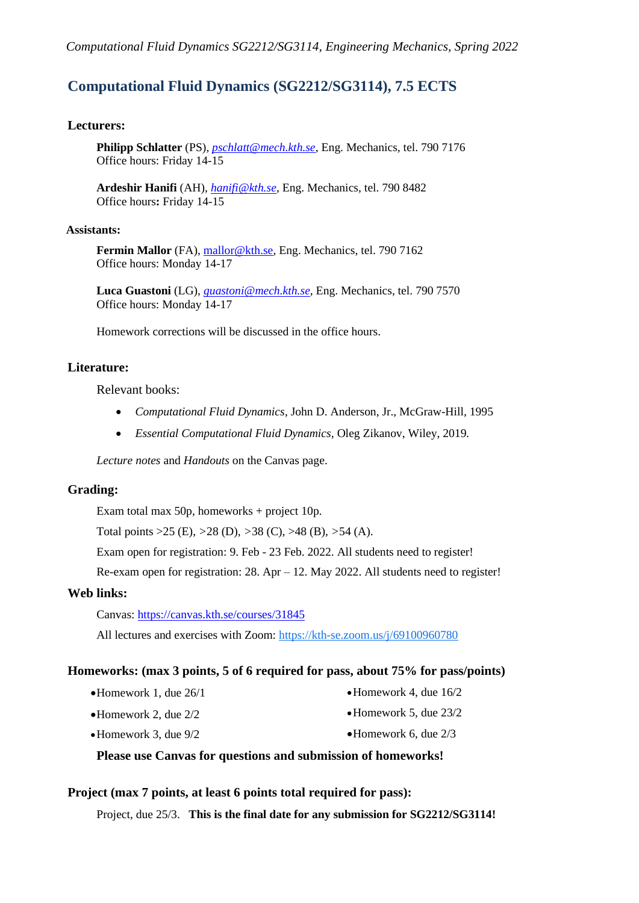### **Computational Fluid Dynamics (SG2212/SG3114), 7.5 ECTS**

#### **Lecturers:**

**Philipp Schlatter** (PS), *[pschlatt@mech.kth.se,](mailto:pschlatt@mech.kth.se)* Eng. Mechanics, tel. 790 7176 Office hours: Friday 14-15

**Ardeshir Hanifi** (AH), *[hanifi@kth.se](mailto:hanifi@kth.se)*, Eng. Mechanics, tel. 790 8482 Office hours**:** Friday 14-15

#### **Assistants:**

Fermin Mallor (FA), [mallor@kth.se,](mailto:mallor@kth.se) Eng. Mechanics, tel. 790 7162 Office hours: Monday 14-17

**Luca Guastoni** (LG), *[guastoni@mech.kth.se](mailto:guastoni@mech.kth.se)*, Eng. Mechanics, tel. 790 7570 Office hours: Monday 14-17

Homework corrections will be discussed in the office hours.

#### **Literature:**

Relevant books:

- *Computational Fluid Dynamics*, John D. Anderson, Jr., McGraw-Hill, 1995
- *Essential Computational Fluid Dynamics,* Oleg Zikanov, Wiley, 2019*.*

*Lecture notes* and *Handouts* on the Canvas page.

#### **Grading:**

Exam total max 50p, homeworks + project 10p.

Total points >25 (E), *>*28 (D), *>*38 (C), >48 (B), *>*54 (A).

Exam open for registration: 9. Feb - 23 Feb. 2022. All students need to register!

Re-exam open for registration: 28. Apr – 12. May 2022. All students need to register!

#### **Web links:**

Canvas:<https://canvas.kth.se/courses/31845>

All lectures and exercises with Zoom:<https://kth-se.zoom.us/j/69100960780>

#### **Homeworks: (max 3 points, 5 of 6 required for pass, about 75% for pass/points)**

•Homework 1, due 26/1

•Homework 4, due 16/2 •Homework 5, due 23/2

•Homework 2, due 2/2

•Homework 6, due 2/3

•Homework 3, due 9/2

**Please use Canvas for questions and submission of homeworks!**

#### **Project (max 7 points, at least 6 points total required for pass):**

Project, due 25/3. **This is the final date for any submission for SG2212/SG3114!**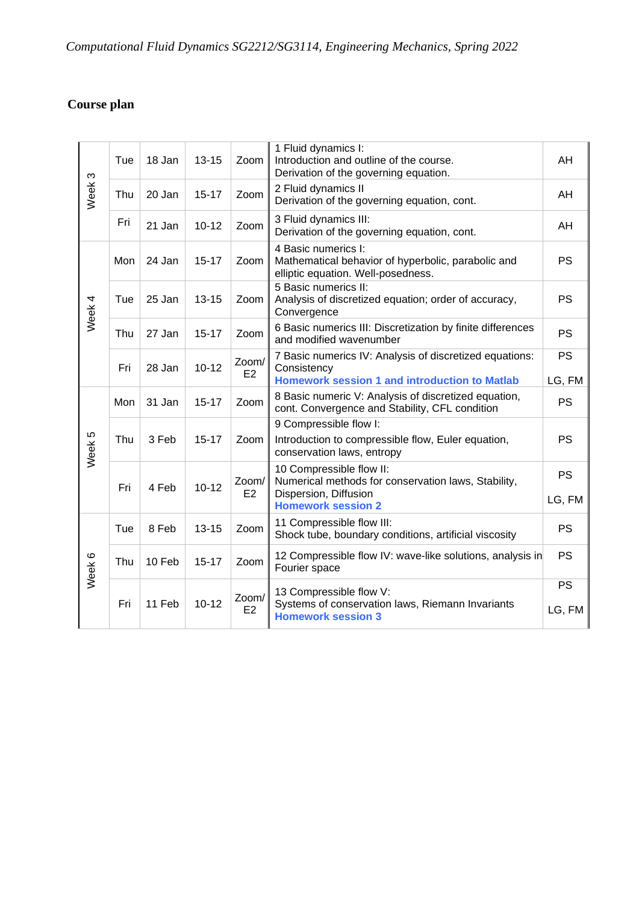# *Computational Fluid Dynamics SG2212/SG3114, Engineering Mechanics, Spring 2022*

## **Course plan**

| AH<br>AH<br>AH                                                                                                                         |
|----------------------------------------------------------------------------------------------------------------------------------------|
|                                                                                                                                        |
|                                                                                                                                        |
|                                                                                                                                        |
| <b>PS</b><br>Mathematical behavior of hyperbolic, parabolic and                                                                        |
| <b>PS</b><br>Analysis of discretized equation; order of accuracy,                                                                      |
| 6 Basic numerics III: Discretization by finite differences<br><b>PS</b>                                                                |
| <b>PS</b><br>7 Basic numerics IV: Analysis of discretized equations:<br><b>Homework session 1 and introduction to Matlab</b><br>LG, FM |
| 8 Basic numeric V: Analysis of discretized equation,<br><b>PS</b><br>cont. Convergence and Stability, CFL condition                    |
|                                                                                                                                        |
| <b>PS</b><br>Introduction to compressible flow, Euler equation,                                                                        |
| <b>PS</b><br>Numerical methods for conservation laws, Stability,                                                                       |
| LG, FM                                                                                                                                 |
| <b>PS</b><br>Shock tube, boundary conditions, artificial viscosity                                                                     |
| <b>PS</b><br>12 Compressible flow IV: wave-like solutions, analysis in                                                                 |
| <b>PS</b>                                                                                                                              |
| Systems of conservation laws, Riemann Invariants<br>LG, FM                                                                             |
|                                                                                                                                        |